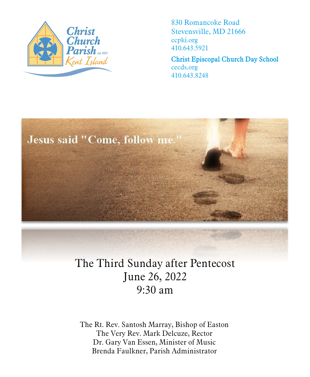

830 Romancoke Road Stevensville, MD 21666 ccpki.org 410.643.5921

Christ Episcopal Church Day School cecds.org 410.643.8248



# The Third Sunday after Pentecost June 26, 2022 9:30 am

The Rt. Rev. Santosh Marray, Bishop of Easton The Very Rev. Mark Delcuze, Rector Dr. Gary Van Essen, Minister of Music Brenda Faulkner, Parish Administrator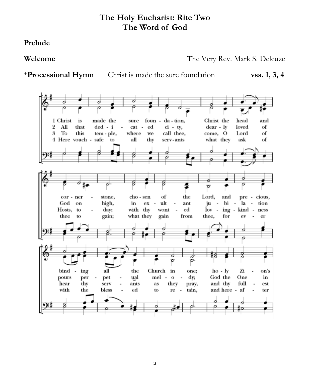### **The Holy Eucharist: Rite Two The Word of God**

**Prelude** 

**Welcome** The Very Rev. Mark S. Delcuze

1 Christ is made the foun - da - tion, Christ the head sure and  $\overline{2}$ All that ded - i ed  $ci - ty,$ dear - ly loved of cat -3 To this tem - ple, where we call thee, come, O Lord of 4 Here vouch - safe to all thy serv-ants what they ask of  $\overline{z}$ cho - sen Lord, stone, of the and pre - cious, cor - ner God on high, in ex ×, ult ant ju bi la tion  $\overline{\phantom{a}}$ Hosts, to day; with thy wont  $_{\rm ed}$  $lov$  $ing$ kind ness what they gain thee to gain; from thee, for ev er O bind the Church in  $ho - ly$ Zi ing all one; on's  $\overline{a}$ per pours ual mel - $\mathbf{o}$ dy; God the One in  $\overline{a}$ pet  $\overline{\phantom{a}}$ hear thy serv ants as they pray, and thy full est with the bless ed and here - af to re  $\overline{\phantom{a}}$ tain, ter

**+Processional Hymn** Christ is made the sure foundation **vss. 1, 3, 4**

2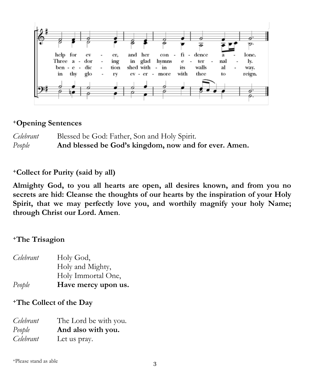

#### **<sup>+</sup>Opening Sentences**

*Celebrant* Blessed be God: Father, Son and Holy Spirit. *People* **And blessed be God's kingdom, now and for ever. Amen.** 

#### **<sup>+</sup>Collect for Purity (said by all)**

**Almighty God, to you all hearts are open, all desires known, and from you no secrets are hid: Cleanse the thoughts of our hearts by the inspiration of your Holy Spirit, that we may perfectly love you, and worthily magnify your holy Name; through Christ our Lord. Amen**.

#### **<sup>+</sup>The Trisagion**

| Celebrant | Holy God,           |
|-----------|---------------------|
|           | Holy and Mighty,    |
|           | Holy Immortal One,  |
| People    | Have mercy upon us. |

#### **<sup>+</sup>The Collect of the Day**

| Celebrant | The Lord be with you. |
|-----------|-----------------------|
| People    | And also with you.    |
| Celebrant | Let us pray.          |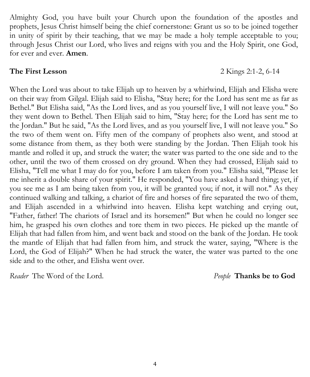they went down to Bethel. Then Elijah said to him, "Stay here; for the Lord has sent me to the Jordan." But he said, "As the Lord lives, and as you yourself live, I will not leave you." So the two of them went on. Fifty men of the company of prophets also went, and stood at

some distance from them, as they both were standing by the Jordan. Then Elijah took his mantle and rolled it up, and struck the water; the water was parted to the one side and to the other, until the two of them crossed on dry ground. When they had crossed, Elijah said to Elisha, "Tell me what I may do for you, before I am taken from you." Elisha said, "Please let me inherit a double share of your spirit." He responded, "You have asked a hard thing; yet, if you see me as I am being taken from you, it will be granted you; if not, it will not." As they continued walking and talking, a chariot of fire and horses of fire separated the two of them, and Elijah ascended in a whirlwind into heaven. Elisha kept watching and crying out, "Father, father! The chariots of Israel and its horsemen!" But when he could no longer see him, he grasped his own clothes and tore them in two pieces. He picked up the mantle of Elijah that had fallen from him, and went back and stood on the bank of the Jordan. He took the mantle of Elijah that had fallen from him, and struck the water, saying, "Where is the Lord, the God of Elijah?" When he had struck the water, the water was parted to the one

*Reader* The Word of the Lord. *People* **Thanks be to God**

side and to the other, and Elisha went over.

#### 4

#### **The First Lesson** 2 Kings 2:1-2, 6-14

### Almighty God, you have built your Church upon the foundation of the apostles and prophets, Jesus Christ himself being the chief cornerstone: Grant us so to be joined together in unity of spirit by their teaching, that we may be made a holy temple acceptable to you; through Jesus Christ our Lord, who lives and reigns with you and the Holy Spirit, one God, for ever and ever. **Amen**.

When the Lord was about to take Elijah up to heaven by a whirlwind, Elijah and Elisha were on their way from Gilgal. Elijah said to Elisha, "Stay here; for the Lord has sent me as far as Bethel." But Elisha said, "As the Lord lives, and as you yourself live, I will not leave you." So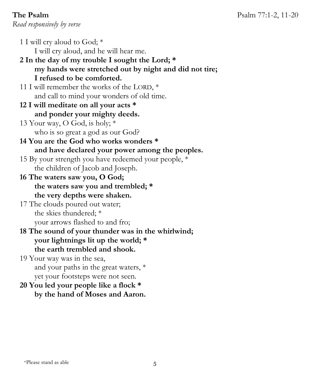**The Psalm Psalm** 2012 **Psalm** 27:1-2, 11-20 *Read responsively by verse*

- 1 I will cry aloud to God; \* I will cry aloud, and he will hear me.
- **2 In the day of my trouble I sought the Lord; \* my hands were stretched out by night and did not tire; I refused to be comforted.**
- 11 I will remember the works of the LORD, \* and call to mind your wonders of old time.
- **12 I will meditate on all your acts \* and ponder your mighty deeds.**
- 13 Your way, O God, is holy; \* who is so great a god as our God?
- **14 You are the God who works wonders \* and have declared your power among the peoples.**
- 15 By your strength you have redeemed your people, \* the children of Jacob and Joseph.
- **16 The waters saw you, O God; the waters saw you and trembled; \* the very depths were shaken.**
- 17 The clouds poured out water; the skies thundered; \* your arrows flashed to and fro;
- **18 The sound of your thunder was in the whirlwind; your lightnings lit up the world; \* the earth trembled and shook.**
- 19 Your way was in the sea, and your paths in the great waters, \* yet your footsteps were not seen.
- **20 You led your people like a flock \* by the hand of Moses and Aaron.**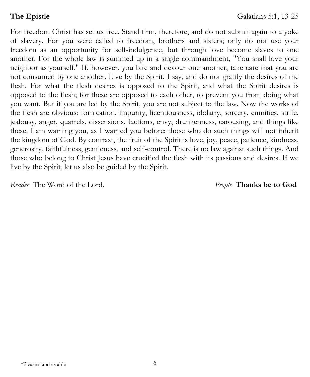For freedom Christ has set us free. Stand firm, therefore, and do not submit again to a yoke of slavery. For you were called to freedom, brothers and sisters; only do not use your freedom as an opportunity for self-indulgence, but through love become slaves to one another. For the whole law is summed up in a single commandment, "You shall love your neighbor as yourself." If, however, you bite and devour one another, take care that you are not consumed by one another. Live by the Spirit, I say, and do not gratify the desires of the flesh. For what the flesh desires is opposed to the Spirit, and what the Spirit desires is opposed to the flesh; for these are opposed to each other, to prevent you from doing what you want. But if you are led by the Spirit, you are not subject to the law. Now the works of the flesh are obvious: fornication, impurity, licentiousness, idolatry, sorcery, enmities, strife, jealousy, anger, quarrels, dissensions, factions, envy, drunkenness, carousing, and things like these. I am warning you, as I warned you before: those who do such things will not inherit the kingdom of God. By contrast, the fruit of the Spirit is love, joy, peace, patience, kindness, generosity, faithfulness, gentleness, and self-control. There is no law against such things. And those who belong to Christ Jesus have crucified the flesh with its passions and desires. If we live by the Spirit, let us also be guided by the Spirit.

*Reader* The Word of the Lord. *People* **Thanks be to God**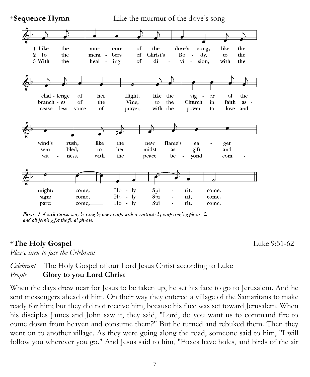

**<sup>+</sup>Sequence Hymn** Like the murmur of the dove's song

### *Celebrant* The Holy Gospel of our Lord Jesus Christ according to Luke *People* **Glory to you Lord Christ**

When the days drew near for Jesus to be taken up, he set his face to go to Jerusalem. And he sent messengers ahead of him. On their way they entered a village of the Samaritans to make ready for him; but they did not receive him, because his face was set toward Jerusalem. When his disciples James and John saw it, they said, "Lord, do you want us to command fire to come down from heaven and consume them?" But he turned and rebuked them. Then they went on to another village. As they were going along the road, someone said to him, "I will follow you wherever you go." And Jesus said to him, "Foxes have holes, and birds of the air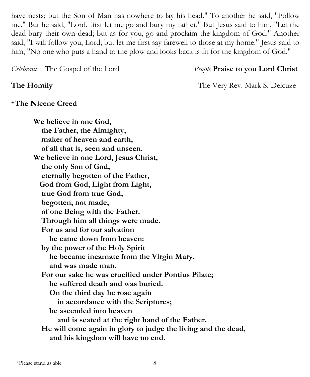have nests; but the Son of Man has nowhere to lay his head." To another he said, "Follow me." But he said, "Lord, first let me go and bury my father." But Jesus said to him, "Let the dead bury their own dead; but as for you, go and proclaim the kingdom of God." Another said, "I will follow you, Lord; but let me first say farewell to those at my home." Jesus said to him, "No one who puts a hand to the plow and looks back is fit for the kingdom of God."

*Celebrant* The Gospel of the Lord *People* **Praise to you Lord Christ**

**The Homily The Very Rev. Mark S. Delcuze** 

#### **<sup>+</sup>The Nicene Creed**

**We believe in one God, the Father, the Almighty, maker of heaven and earth, of all that is, seen and unseen. We believe in one Lord, Jesus Christ, the only Son of God, eternally begotten of the Father, God from God, Light from Light, true God from true God, begotten, not made, of one Being with the Father. Through him all things were made. For us and for our salvation he came down from heaven: by the power of the Holy Spirit he became incarnate from the Virgin Mary, and was made man. For our sake he was crucified under Pontius Pilate; he suffered death and was buried. On the third day he rose again in accordance with the Scriptures; he ascended into heaven and is seated at the right hand of the Father. He will come again in glory to judge the living and the dead, and his kingdom will have no end.**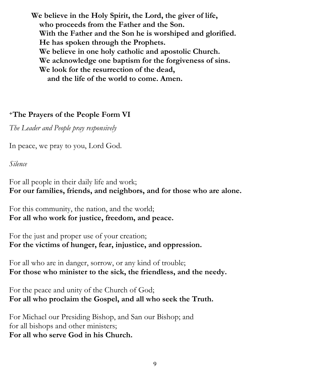**We believe in the Holy Spirit, the Lord, the giver of life, who proceeds from the Father and the Son. With the Father and the Son he is worshiped and glorified. He has spoken through the Prophets. We believe in one holy catholic and apostolic Church. We acknowledge one baptism for the forgiveness of sins. We look for the resurrection of the dead, and the life of the world to come. Amen.**

#### **<sup>+</sup>The Prayers of the People Form VI**

*The Leader and People pray responsively*

In peace, we pray to you, Lord God.

*Silence*

For all people in their daily life and work; **For our families, friends, and neighbors, and for those who are alone.**

For this community, the nation, and the world; **For all who work for justice, freedom, and peace.**

For the just and proper use of your creation; **For the victims of hunger, fear, injustice, and oppression.**

For all who are in danger, sorrow, or any kind of trouble; **For those who minister to the sick, the friendless, and the needy.**

For the peace and unity of the Church of God; **For all who proclaim the Gospel, and all who seek the Truth.**

For Michael our Presiding Bishop, and San our Bishop; and for all bishops and other ministers; **For all who serve God in his Church.**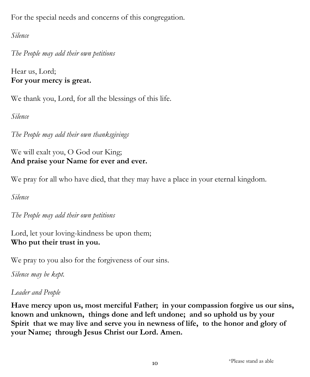For the special needs and concerns of this congregation.

*Silence*

*The People may add their own petitions*

Hear us, Lord; **For your mercy is great.**

We thank you, Lord, for all the blessings of this life.

*Silence*

*The People may add their own thanksgivings*

We will exalt you, O God our King; **And praise your Name for ever and ever.**

We pray for all who have died, that they may have a place in your eternal kingdom.

*Silence*

*The People may add their own petitions*

Lord, let your loving-kindness be upon them; **Who put their trust in you.**

We pray to you also for the forgiveness of our sins.

*Silence may be kept.*

## *Leader and People*

**Have mercy upon us, most merciful Father; in your compassion forgive us our sins, known and unknown, things done and left undone; and so uphold us by your Spirit that we may live and serve you in newness of life, to the honor and glory of your Name; through Jesus Christ our Lord. Amen.**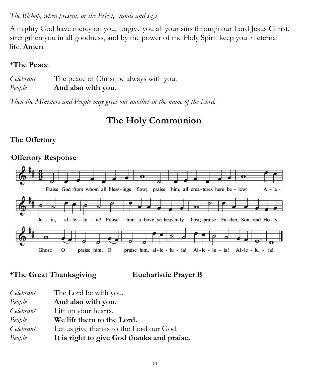#### *The Bishop, when present, or the Priest, stands and says*

Almighty God have mercy on you, forgive you all your sins through our Lord Jesus Christ, strengthen you in all goodness, and by the power of the Holy Spirit keep you in eternal life. **Amen***.*

#### **<sup>+</sup>The Peace**

*Celebrant* The peace of Christ be always with you. *People* **And also with you.**

*Then the Ministers and People may greet one another in the name of the Lord.*

# **The Holy Communion**

## **The Offertory**

#### **Offertory Response**



**<sup>+</sup>The Great Thanksgiving Eucharistic Prayer B** 

| Celebrant | The Lord be with you.                      |
|-----------|--------------------------------------------|
| People    | And also with you.                         |
| Celebrant | Lift up your hearts.                       |
| People    | We lift them to the Lord.                  |
| Celebrant | Let us give thanks to the Lord our God.    |
| People    | It is right to give God thanks and praise. |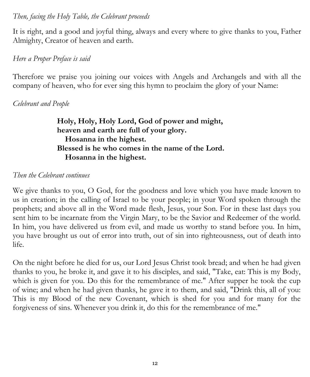#### *Then, facing the Holy Table, the Celebrant proceeds*

It is right, and a good and joyful thing, always and every where to give thanks to you, Father Almighty, Creator of heaven and earth.

#### *Here a [Proper Preface](https://www.bcponline.org/HE/pphe1.html) is said*

Therefore we praise you joining our voices with Angels and Archangels and with all the company of heaven, who for ever sing this hymn to proclaim the glory of your Name:

#### *Celebrant and People*

**Holy, Holy, Holy Lord, God of power and might, heaven and earth are full of your glory. Hosanna in the highest. Blessed is he who comes in the name of the Lord. Hosanna in the highest.**

#### *Then the Celebrant continues*

We give thanks to you, O God, for the goodness and love which you have made known to us in creation; in the calling of Israel to be your people; in your Word spoken through the prophets; and above all in the Word made flesh, Jesus, your Son. For in these last days you sent him to be incarnate from the Virgin Mary, to be the Savior and Redeemer of the world. In him, you have delivered us from evil, and made us worthy to stand before you. In him, you have brought us out of error into truth, out of sin into righteousness, out of death into life.

On the night before he died for us, our Lord Jesus Christ took bread; and when he had given thanks to you, he broke it, and gave it to his disciples, and said, "Take, eat: This is my Body, which is given for you. Do this for the remembrance of me." After supper he took the cup of wine; and when he had given thanks, he gave it to them, and said, "Drink this, all of you: This is my Blood of the new Covenant, which is shed for you and for many for the forgiveness of sins. Whenever you drink it, do this for the remembrance of me."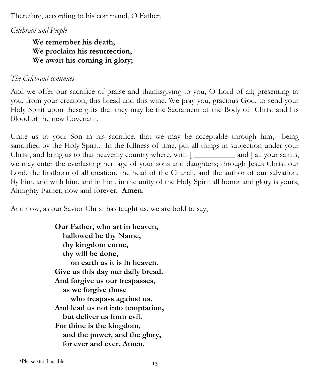Therefore, according to his command, O Father,

*Celebrant and People*

**We remember his death, We proclaim his resurrection, We await his coming in glory;** 

#### *The Celebrant continues*

And we offer our sacrifice of praise and thanksgiving to you, O Lord of all; presenting to you, from your creation, this bread and this wine. We pray you, gracious God, to send your Holy Spirit upon these gifts that they may be the Sacrament of the Body of Christ and his Blood of the new Covenant.

Unite us to your Son in his sacrifice, that we may be acceptable through him, being sanctified by the Holy Spirit. In the fullness of time, put all things in subjection under your Christ, and bring us to that heavenly country where, with  $\lceil \frac{1}{\lceil \frac{1}{n \rceil}} \rceil$  and  $\lceil \frac{1}{n \rceil} \rceil$  and  $\lceil \frac{1}{n \rceil} \rceil$ we may enter the everlasting heritage of your sons and daughters; through Jesus Christ our Lord, the firstborn of all creation, the head of the Church, and the author of our salvation. By him, and with him, and in him, in the unity of the Holy Spirit all honor and glory is yours, Almighty Father, now and forever. **Amen**.

And now, as our Savior Christ has taught us, we are bold to say,

**Our Father, who art in heaven, hallowed be thy Name, thy kingdom come, thy will be done, on earth as it is in heaven. Give us this day our daily bread. And forgive us our trespasses, as we forgive those who trespass against us. And lead us not into temptation, but deliver us from evil. For thine is the kingdom, and the power, and the glory, for ever and ever. Amen.**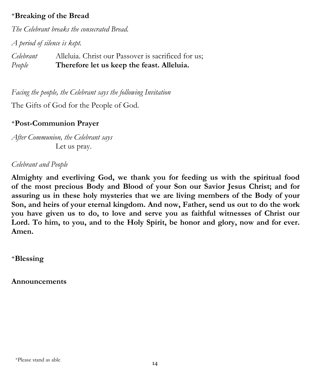### **<sup>+</sup>Breaking of the Bread**

*The Celebrant breaks the consecrated Bread.* 

*A period of silence is kept.*

*Celebrant* Alleluia. Christ our Passover is sacrificed for us; *People* **Therefore let us keep the feast. Alleluia.**

*Facing the people, the Celebrant says the following Invitation*

The Gifts of God for the People of God.

#### **<sup>+</sup>Post-Communion Prayer**

*After Communion, the Celebrant says* Let us pray.

#### *Celebrant and People*

**Almighty and everliving God, we thank you for feeding us with the spiritual food of the most precious Body and Blood of your Son our Savior Jesus Christ; and for assuring us in these holy mysteries that we are living members of the Body of your Son, and heirs of your eternal kingdom. And now, Father, send us out to do the work you have given us to do, to love and serve you as faithful witnesses of Christ our Lord. To him, to you, and to the Holy Spirit, be honor and glory, now and for ever. Amen.** 

**<sup>+</sup>Blessing**

**Announcements**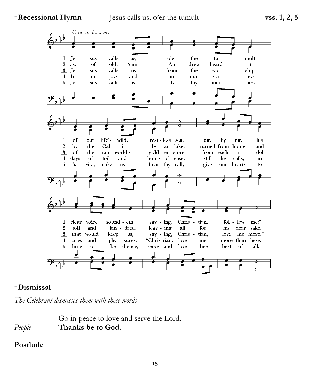**<sup>+</sup>Recessional Hymn** Jesus calls us; o'er the tumult **vss. 1, 2, 5** 



#### **<sup>+</sup>Dismissal**

*The Celebrant dismisses them with these words*

Go in peace to love and serve the Lord. *People* **Thanks be to God.** 

#### **Postlude**